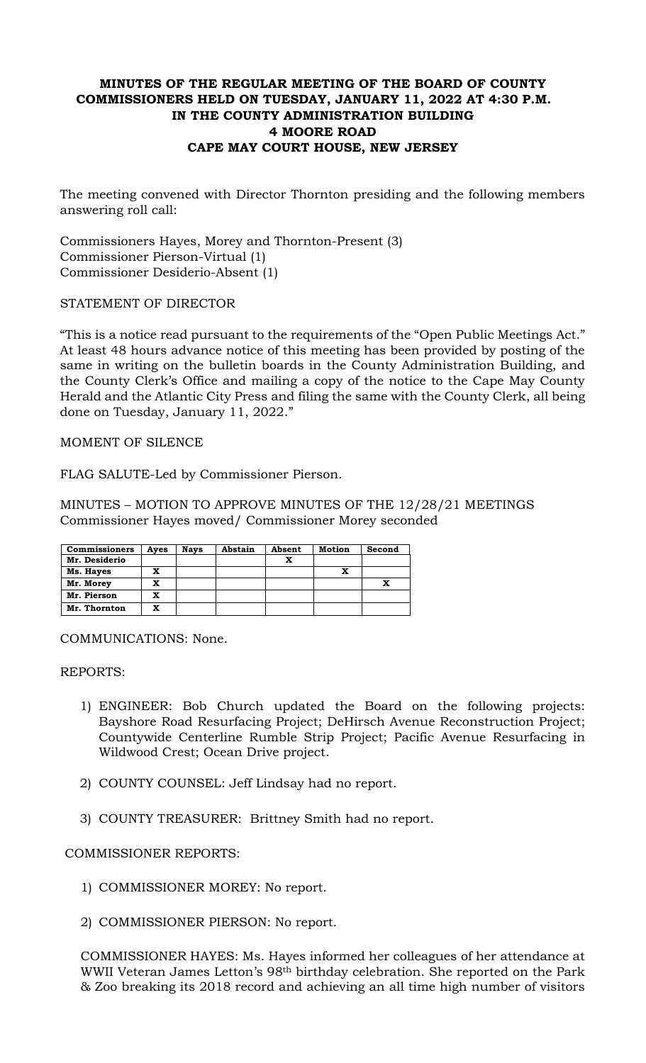# **MINUTES OF THE REGULAR MEETING OF THE BOARD OF COUNTY COMMISSIONERS HELD ON TUESDAY, JANUARY 11, 2022 AT 4:30 P.M. IN THE COUNTY ADMINISTRATION BUILDING 4 MOORE ROAD CAPE MAY COURT HOUSE, NEW JERSEY**

The meeting convened with Director Thornton presiding and the following members answering roll call:

Commissioners Hayes, Morey and Thornton-Present (3) Commissioner Pierson-Virtual (1) Commissioner Desiderio-Absent (1)

### STATEMENT OF DIRECTOR

"This is a notice read pursuant to the requirements of the "Open Public Meetings Act." At least 48 hours advance notice of this meeting has been provided by posting of the same in writing on the bulletin boards in the County Administration Building, and the County Clerk's Office and mailing a copy of the notice to the Cape May County Herald and the Atlantic City Press and filing the same with the County Clerk, all being done on Tuesday, January 11, 2022."

### MOMENT OF SILENCE

FLAG SALUTE-Led by Commissioner Pierson.

MINUTES – MOTION TO APPROVE MINUTES OF THE 12/28/21 MEETINGS Commissioner Hayes moved/ Commissioner Morey seconded

| <b>Commissioners</b> | Aves | <b>Nays</b> | Abstain | Absent | <b>Motion</b> | Second |
|----------------------|------|-------------|---------|--------|---------------|--------|
| Mr. Desiderio        |      |             |         | X      |               |        |
| Ms. Hayes            | x    |             |         |        |               |        |
| Mr. Morey            | x    |             |         |        |               |        |
| Mr. Pierson          | x    |             |         |        |               |        |
| Mr. Thornton         | x    |             |         |        |               |        |

COMMUNICATIONS: None.

REPORTS:

- 1) ENGINEER: Bob Church updated the Board on the following projects: Bayshore Road Resurfacing Project; DeHirsch Avenue Reconstruction Project; Countywide Centerline Rumble Strip Project; Pacific Avenue Resurfacing in Wildwood Crest; Ocean Drive project.
- 2) COUNTY COUNSEL: Jeff Lindsay had no report.
- 3) COUNTY TREASURER: Brittney Smith had no report.

### COMMISSIONER REPORTS:

- 1) COMMISSIONER MOREY: No report.
- 2) COMMISSIONER PIERSON: No report.

COMMISSIONER HAYES: Ms. Hayes informed her colleagues of her attendance at WWII Veteran James Letton's 98th birthday celebration. She reported on the Park & Zoo breaking its 2018 record and achieving an all time high number of visitors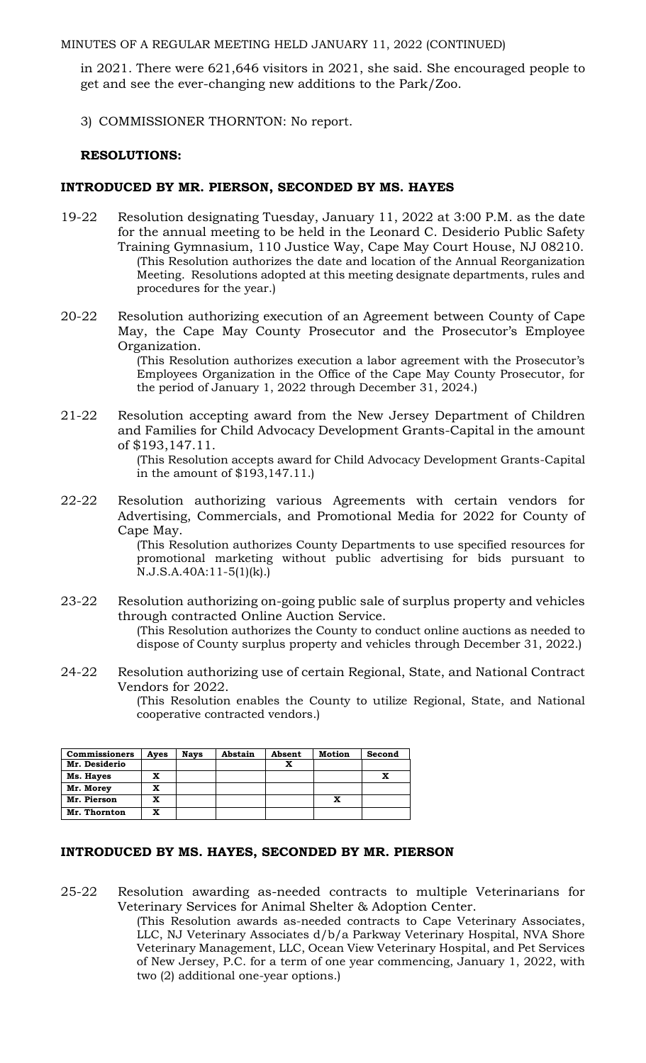MINUTES OF A REGULAR MEETING HELD JANUARY 11, 2022 (CONTINUED)

in 2021. There were 621,646 visitors in 2021, she said. She encouraged people to get and see the ever-changing new additions to the Park/Zoo.

3) COMMISSIONER THORNTON: No report.

### **RESOLUTIONS:**

### **INTRODUCED BY MR. PIERSON, SECONDED BY MS. HAYES**

- 19-22 Resolution designating Tuesday, January 11, 2022 at 3:00 P.M. as the date for the annual meeting to be held in the Leonard C. Desiderio Public Safety Training Gymnasium, 110 Justice Way, Cape May Court House, NJ 08210. (This Resolution authorizes the date and location of the Annual Reorganization Meeting. Resolutions adopted at this meeting designate departments, rules and procedures for the year.)
- 20-22 Resolution authorizing execution of an Agreement between County of Cape May, the Cape May County Prosecutor and the Prosecutor's Employee Organization.

(This Resolution authorizes execution a labor agreement with the Prosecutor's Employees Organization in the Office of the Cape May County Prosecutor, for the period of January 1, 2022 through December 31, 2024.)

21-22 Resolution accepting award from the New Jersey Department of Children and Families for Child Advocacy Development Grants-Capital in the amount of \$193,147.11.

(This Resolution accepts award for Child Advocacy Development Grants-Capital in the amount of \$193,147.11.)

22-22 Resolution authorizing various Agreements with certain vendors for Advertising, Commercials, and Promotional Media for 2022 for County of Cape May.

(This Resolution authorizes County Departments to use specified resources for promotional marketing without public advertising for bids pursuant to N.J.S.A.40A:11-5(1)(k).)

23-22 Resolution authorizing on-going public sale of surplus property and vehicles through contracted Online Auction Service.

(This Resolution authorizes the County to conduct online auctions as needed to dispose of County surplus property and vehicles through December 31, 2022.)

24-22 Resolution authorizing use of certain Regional, State, and National Contract Vendors for 2022.

(This Resolution enables the County to utilize Regional, State, and National cooperative contracted vendors.)

| <b>Commissioners</b> | Ayes | <b>Nays</b> | Abstain | Absent | <b>Motion</b> | Second |
|----------------------|------|-------------|---------|--------|---------------|--------|
| Mr. Desiderio        |      |             |         | x      |               |        |
| Ms. Hayes            | x    |             |         |        |               |        |
| Mr. Morey            | x    |             |         |        |               |        |
| Mr. Pierson          | X    |             |         |        |               |        |
| Mr. Thornton         | x    |             |         |        |               |        |

### **INTRODUCED BY MS. HAYES, SECONDED BY MR. PIERSON**

25-22 Resolution awarding as-needed contracts to multiple Veterinarians for Veterinary Services for Animal Shelter & Adoption Center.

> (This Resolution awards as-needed contracts to Cape Veterinary Associates, LLC, NJ Veterinary Associates d/b/a Parkway Veterinary Hospital, NVA Shore Veterinary Management, LLC, Ocean View Veterinary Hospital, and Pet Services of New Jersey, P.C. for a term of one year commencing, January 1, 2022, with two (2) additional one-year options.)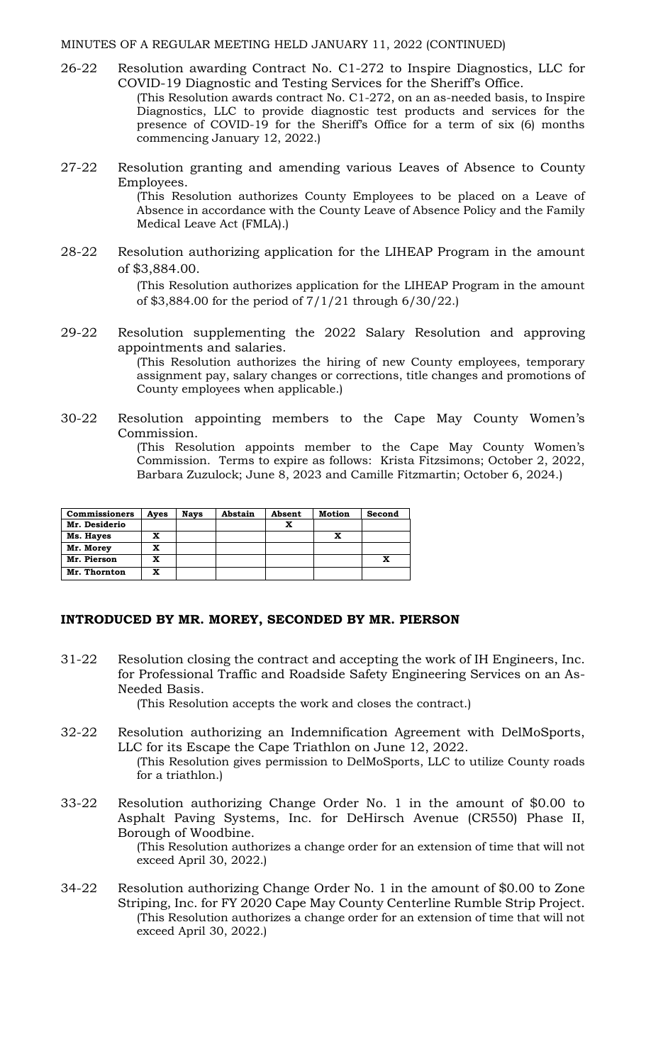#### MINUTES OF A REGULAR MEETING HELD JANUARY 11, 2022 (CONTINUED)

- 26-22 Resolution awarding Contract No. C1-272 to Inspire Diagnostics, LLC for COVID-19 Diagnostic and Testing Services for the Sheriff's Office. (This Resolution awards contract No. C1-272, on an as-needed basis, to Inspire Diagnostics, LLC to provide diagnostic test products and services for the presence of COVID-19 for the Sheriff's Office for a term of six (6) months commencing January 12, 2022.)
- 27-22 Resolution granting and amending various Leaves of Absence to County Employees. (This Resolution authorizes County Employees to be placed on a Leave of Absence in accordance with the County Leave of Absence Policy and the Family Medical Leave Act (FMLA).)
- 28-22 Resolution authorizing application for the LIHEAP Program in the amount of \$3,884.00.

(This Resolution authorizes application for the LIHEAP Program in the amount of \$3,884.00 for the period of 7/1/21 through 6/30/22.)

29-22 Resolution supplementing the 2022 Salary Resolution and approving appointments and salaries.

(This Resolution authorizes the hiring of new County employees, temporary assignment pay, salary changes or corrections, title changes and promotions of County employees when applicable.)

30-22 Resolution appointing members to the Cape May County Women's Commission.

> (This Resolution appoints member to the Cape May County Women's Commission. Terms to expire as follows: Krista Fitzsimons; October 2, 2022, Barbara Zuzulock; June 8, 2023 and Camille Fitzmartin; October 6, 2024.)

| <b>Commissioners</b> | Ayes | <b>Nays</b> | Abstain | Absent | Motion | Second |
|----------------------|------|-------------|---------|--------|--------|--------|
| Mr. Desiderio        |      |             |         | x      |        |        |
| Ms. Hayes            | x    |             |         |        |        |        |
| Mr. Morey            | x    |             |         |        |        |        |
| Mr. Pierson          | x    |             |         |        |        |        |
| Mr. Thornton         | x    |             |         |        |        |        |

#### **INTRODUCED BY MR. MOREY, SECONDED BY MR. PIERSON**

31-22 Resolution closing the contract and accepting the work of IH Engineers, Inc. for Professional Traffic and Roadside Safety Engineering Services on an As-Needed Basis.

(This Resolution accepts the work and closes the contract.)

- 32-22 Resolution authorizing an Indemnification Agreement with DelMoSports, LLC for its Escape the Cape Triathlon on June 12, 2022. (This Resolution gives permission to DelMoSports, LLC to utilize County roads for a triathlon.)
- 33-22 Resolution authorizing Change Order No. 1 in the amount of \$0.00 to Asphalt Paving Systems, Inc. for DeHirsch Avenue (CR550) Phase II, Borough of Woodbine.

(This Resolution authorizes a change order for an extension of time that will not exceed April 30, 2022.)

34-22 Resolution authorizing Change Order No. 1 in the amount of \$0.00 to Zone Striping, Inc. for FY 2020 Cape May County Centerline Rumble Strip Project. (This Resolution authorizes a change order for an extension of time that will not exceed April 30, 2022.)